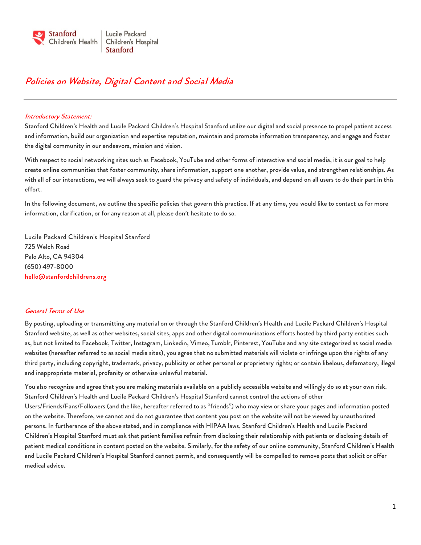

# Policies on Website, Digital Content and Social Media

#### Introductory Statement:

Stanford Children's Health and Lucile Packard Children's Hospital Stanford utilize our digital and social presence to propel patient access and information, build our organization and expertise reputation, maintain and promote information transparency, and engage and foster the digital community in our endeavors, mission and vision.

With respect to social networking sites such as Facebook, YouTube and other forms of interactive and social media, it is our goal to help create online communities that foster community, share information, support one another, provide value, and strengthen relationships. As with all of our interactions, we will always seek to guard the privacy and safety of individuals, and depend on all users to do their part in this effort.

In the following document, we outline the specific policies that govern this practice. If at any time, you would like to contact us for more information, clarification, or for any reason at all, please don't hesitate to do so.

Lucile Packard Children's Hospital Stanford 725 Welch Road Palo Alto, CA 94304 (650) 497-8000 [hello@stanfordchildrens.org](mailto:hello@stanfordchildrens.org)

## General Terms of Use

By posting, uploading or transmitting any material on or through the Stanford Children's Health and Lucile Packard Children's Hospital Stanford website, as well as other websites, social sites, apps and other digital communications efforts hosted by third party entities such as, but not limited to Facebook, Twitter, Instagram, Linkedin, Vimeo, Tumblr, Pinterest, YouTube and any site categorized as social media websites (hereafter referred to as social media sites), you agree that no submitted materials will violate or infringe upon the rights of any third party, including copyright, trademark, privacy, publicity or other personal or proprietary rights; or contain libelous, defamatory, illegal and inappropriate material, profanity or otherwise unlawful material.

You also recognize and agree that you are making materials available on a publicly accessible website and willingly do so at your own risk. Stanford Children's Health and Lucile Packard Children's Hospital Stanford cannot control the actions of other Users/Friends/Fans/Followers (and the like, hereafter referred to as "friends") who may view or share your pages and information posted on the website. Therefore, we cannot and do not guarantee that content you post on the website will not be viewed by unauthorized persons. In furtherance of the above stated, and in compliance with HIPAA laws, Stanford Children's Health and Lucile Packard Children's Hospital Stanford must ask that patient families refrain from disclosing their relationship with patients or disclosing details of patient medical conditions in content posted on the website. Similarly, for the safety of our online community, Stanford Children's Health and Lucile Packard Children's Hospital Stanford cannot permit, and consequently will be compelled to remove posts that solicit or offer medical advice.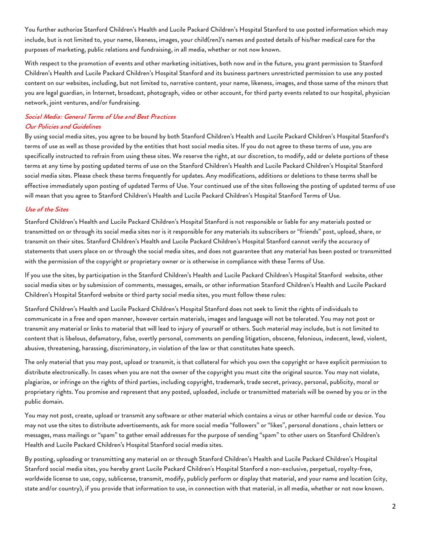You further authorize Stanford Children's Health and Lucile Packard Children's Hospital Stanford to use posted information which may include, but is not limited to, your name, likeness, images, your child(ren)'s names and posted details of his/her medical care for the purposes of marketing, public relations and fundraising, in all media, whether or not now known.

With respect to the promotion of events and other marketing initiatives, both now and in the future, you grant permission to Stanford Children's Health and Lucile Packard Children's Hospital Stanford and its business partners unrestricted permission to use any posted content on our websites, including, but not limited to, narrative content, your name, likeness, images, and those same of the minors that you are legal guardian, in Internet, broadcast, photograph, video or other account, for third party events related to our hospital, physician network, joint ventures, and/or fundraising.

# Social Media: General Terms of Use and Best Practices Our Policies and Guidelines

By using social media sites, you agree to be bound by both Stanford Children's Health and Lucile Packard Children's Hospital Stanford's terms of use as well as those provided by the entities that host social media sites. If you do not agree to these terms of use, you are specifically instructed to refrain from using these sites. We reserve the right, at our discretion, to modify, add or delete portions of these terms at any time by posting updated terms of use on the Stanford Children's Health and Lucile Packard Children's Hospital Stanford social media sites. Please check these terms frequently for updates. Any modifications, additions or deletions to these terms shall be effective immediately upon posting of updated Terms of Use. Your continued use of the sites following the posting of updated terms of use will mean that you agree to Stanford Children's Health and Lucile Packard Children's Hospital Stanford Terms of Use.

# Use of the Sites

Stanford Children's Health and Lucile Packard Children's Hospital Stanford is not responsible or liable for any materials posted or transmitted on or through its social media sites nor is it responsible for any materials its subscribers or "friends" post, upload, share, or transmit on their sites. Stanford Children's Health and Lucile Packard Children's Hospital Stanford cannot verify the accuracy of statements that users place on or through the social media sites, and does not guarantee that any material has been posted or transmitted with the permission of the copyright or proprietary owner or is otherwise in compliance with these Terms of Use.

If you use the sites, by participation in the Stanford Children's Health and Lucile Packard Children's Hospital Stanford website, other social media sites or by submission of comments, messages, emails, or other information Stanford Children's Health and Lucile Packard Children's Hospital Stanford website or third party social media sites, you must follow these rules:

Stanford Children's Health and Lucile Packard Children's Hospital Stanford does not seek to limit the rights of individuals to communicate in a free and open manner, however certain materials, images and language will not be tolerated. You may not post or transmit any material or links to material that will lead to injury of yourself or others. Such material may include, but is not limited to content that is libelous, defamatory, false, overtly personal, comments on pending litigation, obscene, felonious, indecent, lewd, violent, abusive, threatening, harassing, discriminatory, in violation of the law or that constitutes hate speech.

The only material that you may post, upload or transmit, is that collateral for which you own the copyright or have explicit permission to distribute electronically. In cases when you are not the owner of the copyright you must cite the original source. You may not violate, plagiarize, or infringe on the rights of third parties, including copyright, trademark, trade secret, privacy, personal, publicity, moral or proprietary rights. You promise and represent that any posted, uploaded, include or transmitted materials will be owned by you or in the public domain.

You may not post, create, upload or transmit any software or other material which contains a virus or other harmful code or device. You may not use the sites to distribute advertisements, ask for more social media "followers" or "likes", personal donations , chain letters or messages, mass mailings or "spam" to gather email addresses for the purpose of sending "spam" to other users on Stanford Children's Health and Lucile Packard Children's Hospital Stanford social media sites.

By posting, uploading or transmitting any material on or through Stanford Children's Health and Lucile Packard Children's Hospital Stanford social media sites, you hereby grant Lucile Packard Children's Hospital Stanford a non-exclusive, perpetual, royalty-free, worldwide license to use, copy, sublicense, transmit, modify, publicly perform or display that material, and your name and location (city, state and/or country), if you provide that information to use, in connection with that material, in all media, whether or not now known.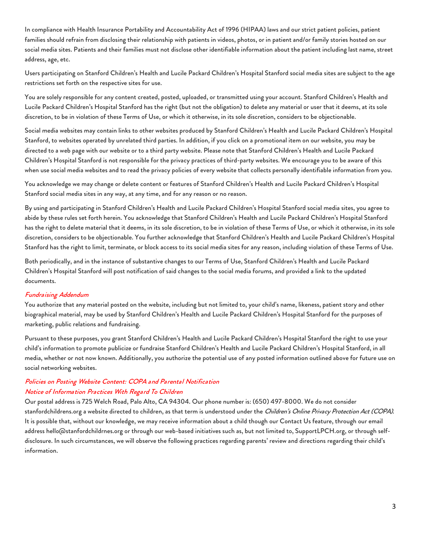In compliance with Health Insurance Portability and Accountability Act of 1996 (HIPAA) laws and our strict patient policies, patient families should refrain from disclosing their relationship with patients in videos, photos, or in patient and/or family stories hosted on our social media sites. Patients and their families must not disclose other identifiable information about the patient including last name, street address, age, etc.

Users participating on Stanford Children's Health and Lucile Packard Children's Hospital Stanford social media sites are subject to the age restrictions set forth on the respective sites for use.

You are solely responsible for any content created, posted, uploaded, or transmitted using your account. Stanford Children's Health and Lucile Packard Children's Hospital Stanford has the right (but not the obligation) to delete any material or user that it deems, at its sole discretion, to be in violation of these Terms of Use, or which it otherwise, in its sole discretion, considers to be objectionable.

Social media websites may contain links to other websites produced by Stanford Children's Health and Lucile Packard Children's Hospital Stanford, to websites operated by unrelated third parties. In addition, if you click on a promotional item on our website, you may be directed to a web page with our website or to a third party website. Please note that Stanford Children's Health and Lucile Packard Children's Hospital Stanford is not responsible for the privacy practices of third-party websites. We encourage you to be aware of this when use social media websites and to read the privacy policies of every website that collects personally identifiable information from you.

You acknowledge we may change or delete content or features of Stanford Children's Health and Lucile Packard Children's Hospital Stanford social media sites in any way, at any time, and for any reason or no reason.

By using and participating in Stanford Children's Health and Lucile Packard Children's Hospital Stanford social media sites, you agree to abide by these rules set forth herein. You acknowledge that Stanford Children's Health and Lucile Packard Children's Hospital Stanford has the right to delete material that it deems, in its sole discretion, to be in violation of these Terms of Use, or which it otherwise, in its sole discretion, considers to be objectionable. You further acknowledge that Stanford Children's Health and Lucile Packard Children's Hospital Stanford has the right to limit, terminate, or block access to its social media sites for any reason, including violation of these Terms of Use.

Both periodically, and in the instance of substantive changes to our Terms of Use, Stanford Children's Health and Lucile Packard Children's Hospital Stanford will post notification of said changes to the social media forums, and provided a link to the updated documents.

## Fundraising Addendum

You authorize that any material posted on the website, including but not limited to, your child's name, likeness, patient story and other biographical material, may be used by Stanford Children's Health and Lucile Packard Children's Hospital Stanford for the purposes of marketing, public relations and fundraising.

Pursuant to these purposes, you grant Stanford Children's Health and Lucile Packard Children's Hospital Stanford the right to use your child's information to promote publicize or fundraise Stanford Children's Health and Lucile Packard Children's Hospital Stanford, in all media, whether or not now known. Additionally, you authorize the potential use of any posted information outlined above for future use on social networking websites.

# Policies on Posting Website Content: COPA and Parental Notification Notice of Information Practices With Regard To Children

Our postal address is 725 Welch Road, Palo Alto, CA 94304. Our phone number is: (650) 497-8000. We do not consider stanfordchildrens.org a website directed to children, as that term is understood under the Children's Online Privacy Protection Act (COPA). It is possible that, without our knowledge, we may receive information about a child though our Contact Us feature, through our email address hello@stanfordchildrnes.org or through our web-based initiatives such as, but not limited to, SupportLPCH.org, or through selfdisclosure. In such circumstances, we will observe the following practices regarding parents' review and directions regarding their child's information.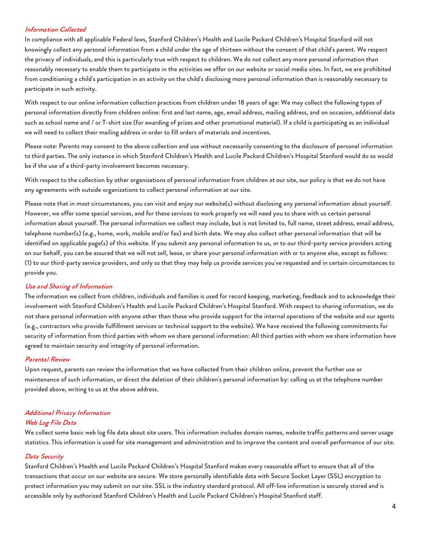# Information Collected

In compliance with all applicable Federal laws, Stanford Children's Health and Lucile Packard Children's Hospital Stanford will not knowingly collect any personal information from a child under the age of thirteen without the consent of that child's parent. We respect the privacy of individuals, and this is particularly true with respect to children. We do not collect any more personal information than reasonably necessary to enable them to participate in the activities we offer on our website or social media sites. In fact, we are prohibited from conditioning a child's participation in an activity on the child's disclosing more personal information than is reasonably necessary to participate in such activity.

With respect to our online information collection practices from children under 18 years of age: We may collect the following types of personal information directly from children online: first and last name, age, email address, mailing address, and on occasion, additional data such as school name and / or T-shirt size (for awarding of prizes and other promotional material). If a child is participating as an individual we will need to collect their mailing address in order to fill orders of materials and incentives.

Please note: Parents may consent to the above collection and use without necessarily consenting to the disclosure of personal information to third parties. The only instance in which Stanford Children's Health and Lucile Packard Children's Hospital Stanford would do so would be if the use of a third-party involvement becomes necessary.

With respect to the collection by other organizations of personal information from children at our site, our policy is that we do not have any agreements with outside organizations to collect personal information at our site.

Please note that in most circumstances, you can visit and enjoy our website(s) without disclosing any personal information about yourself. However, we offer some special services, and for these services to work properly we will need you to share with us certain personal information about yourself. The personal information we collect may include, but is not limited to, full name, street address, email address, telephone number(s) (e.g., home, work, mobile and/or fax) and birth date. We may also collect other personal information that will be identified on applicable page(s) of this website. If you submit any personal information to us, or to our third-party service providers acting on our behalf, you can be assured that we will not sell, lease, or share your personal information with or to anyone else, except as follows: (1) to our third-party service providers, and only so that they may help us provide services you've requested and in certain circumstances to provide you.

## Use and Sharing of Information

The information we collect from children, individuals and families is used for record keeping, marketing, feedback and to acknowledge their involvement with Stanford Children's Health and Lucile Packard Children's Hospital Stanford. With respect to sharing information, we do not share personal information with anyone other than those who provide support for the internal operations of the website and our agents (e.g., contractors who provide fulfillment services or technical support to the website). We have received the following commitments for security of information from third parties with whom we share personal information: All third parties with whom we share information have agreed to maintain security and integrity of personal information.

## Parental Review

Upon request, parents can review the information that we have collected from their children online, prevent the further use or maintenance of such information, or direct the deletion of their children's personal information by: calling us at the telephone number provided above, writing to us at the above address.

# Additional Privacy Information

## Web Log File Data

We collect some basic web log file data about site users. This information includes domain names, website traffic patterns and server usage statistics. This information is used for site management and administration and to improve the content and overall performance of our site.

## Data Security

Stanford Children's Health and Lucile Packard Children's Hospital Stanford makes every reasonable effort to ensure that all of the transactions that occur on our website are secure. We store personally identifiable data with Secure Socket Layer (SSL) encryption to protect information you may submit on our site. SSL is the industry standard protocol. All off-line information is securely stored and is accessible only by authorized Stanford Children's Health and Lucile Packard Children's Hospital Stanford staff.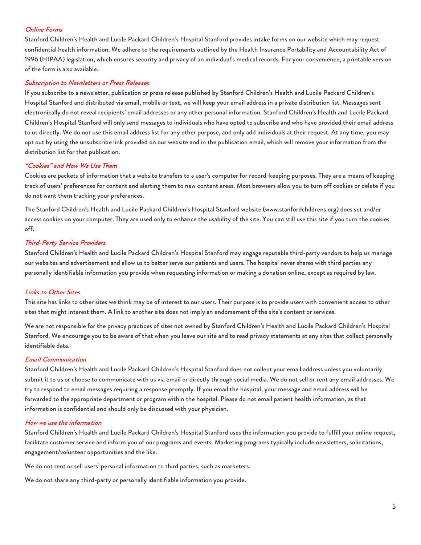# Online Forms

Stanford Children's Health and Lucile Packard Children's Hospital Stanford provides intake forms on our website which may request confidential health information. We adhere to the requirements outlined by the Health Insurance Portability and Accountability Act of 1996 (HIPAA) legislation, which ensures security and privacy of an individual's medical records. For your convenience, a printable version of the form is also available.

#### Subscription to Newsletters or Press Releases

If you subscribe to a newsletter, publication or press release published by Stanford Children's Health and Lucile Packard Children's Hospital Stanford and distributed via email, mobile or text, we will keep your email address in a private distribution list. Messages sent electronically do not reveal recipients' email addresses or any other personal information. Stanford Children's Health and Lucile Packard Children's Hospital Stanford will only send messages to individuals who have opted to subscribe and who have provided their email address to us directly. We do not use this email address list for any other purpose, and only add individuals at their request. At any time, you may opt out by using the unsubscribe link provided on our website and in the publication email, which will remove your information from the distribution list for that publication.

#### "Cookies" and How We Use Them

Cookies are packets of information that a website transfers to a user's computer for record-keeping purposes. They are a means of keeping track of users' preferences for content and alerting them to new content areas. Most browsers allow you to turn off cookies or delete if you do not want them tracking your preferences.

The Stanford Children's Health and Lucile Packard Children's Hospital Stanford website (www.stanfordchildrens.org) does set and/or access cookies on your computer. They are used only to enhance the usability of the site. You can still use this site if you turn the cookies off.

#### Third-Party Service Providers

Stanford Children's Health and Lucile Packard Children's Hospital Stanford may engage reputable third-party vendors to help us manage our websites and advertisement and allow us to better serve our patients and users. The hospital never shares with third parties any personally identifiable information you provide when requesting information or making a donation online, except as required by law.

## Links to Other Sites

This site has links to other sites we think may be of interest to our users. Their purpose is to provide users with convenient access to other sites that might interest them. A link to another site does not imply an endorsement of the site's content or services.

We are not responsible for the privacy practices of sites not owned by Stanford Children's Health and Lucile Packard Children's Hospital Stanford. We encourage you to be aware of that when you leave our site and to read privacy statements at any sites that collect personally identifiable data.

#### Email Communication

Stanford Children's Health and Lucile Packard Children's Hospital Stanford does not collect your email address unless you voluntarily submit it to us or choose to communicate with us via email or directly through social media. We do not sell or rent any email addresses. We try to respond to email messages requiring a response promptly. If you email the hospital, your message and email address will be forwarded to the appropriate department or program within the hospital. Please do not email patient health information, as that information is confidential and should only be discussed with your physician.

#### How we use the information

Stanford Children's Health and Lucile Packard Children's Hospital Stanford uses the information you provide to fulfill your online request, facilitate customer service and inform you of our programs and events. Marketing programs typically include newsletters, solicitations, engagement/volunteer opportunities and the like.

We do not rent or sell users' personal information to third parties, such as marketers.

We do not share any third-party or personally identifiable information you provide.